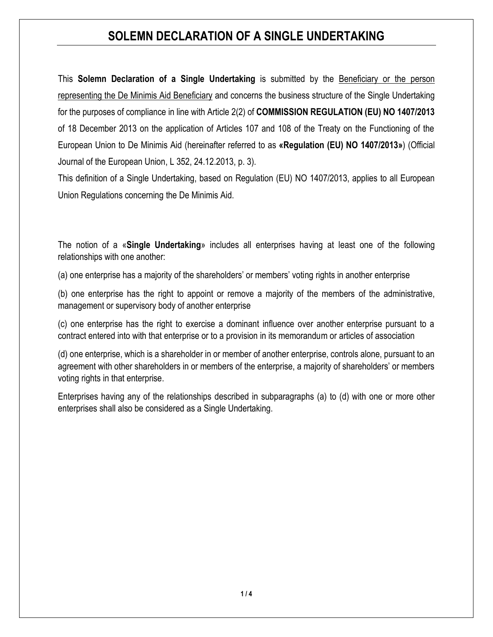This **Solemn Declaration of a Single Undertaking** is submitted by the Beneficiary or the person representing the De Minimis Aid Beneficiary and concerns the business structure of the Single Undertaking for the purposes of compliance in line with Article 2(2) of **COMMISSION REGULATION (EU) NO 1407/2013** of 18 December 2013 on the application of Articles 107 and 108 of the Treaty on the Functioning of the European Union to De Minimis Aid (hereinafter referred to as **«Regulation (EU) NΟ 1407/2013»**) (Official Journal of the European Union, L 352, 24.12.2013, p. 3).

This definition of a Single Undertaking, based on Regulation (EU) NO 1407/2013, applies to all European Union Regulations concerning the De Minimis Aid.

The notion of a «**Single Undertaking**» includes all enterprises having at least one of the following relationships with one another:

(a) one enterprise has a majority of the shareholders' or members' voting rights in another enterprise

(b) one enterprise has the right to appoint or remove a majority of the members of the administrative, management or supervisory body of another enterprise

(c) one enterprise has the right to exercise a dominant influence over another enterprise pursuant to a contract entered into with that enterprise or to a provision in its memorandum or articles of association

(d) one enterprise, which is a shareholder in or member of another enterprise, controls alone, pursuant to an agreement with other shareholders in or members of the enterprise, a majority of shareholders' or members voting rights in that enterprise.

Enterprises having any of the relationships described in subparagraphs (a) to (d) with one or more other enterprises shall also be considered as a Single Undertaking.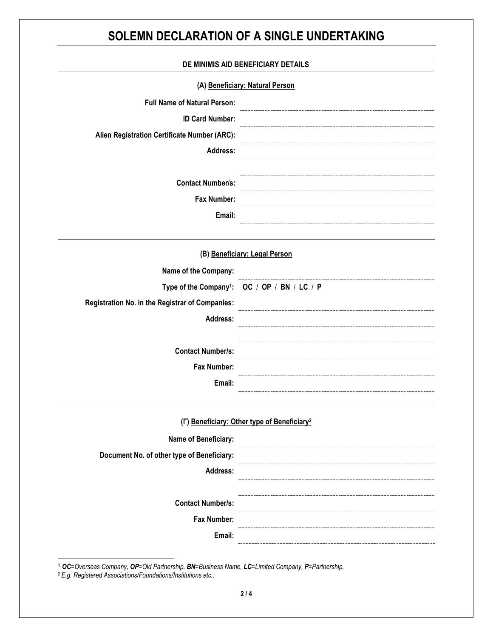| DE MINIMIS AID BENEFICIARY DETAILS              |                                                          |  |
|-------------------------------------------------|----------------------------------------------------------|--|
|                                                 | (A) Beneficiary: Natural Person                          |  |
| <b>Full Name of Natural Person:</b>             |                                                          |  |
| <b>ID Card Number:</b>                          |                                                          |  |
| Alien Registration Certificate Number (ARC):    |                                                          |  |
| Address:                                        |                                                          |  |
| <b>Contact Number/s:</b>                        |                                                          |  |
| <b>Fax Number:</b>                              |                                                          |  |
| Email:                                          |                                                          |  |
|                                                 | (B) Beneficiary: Legal Person                            |  |
| Name of the Company:                            |                                                          |  |
|                                                 | Type of the Company <sup>1</sup> : OC / OP / BN / LC / P |  |
| Registration No. in the Registrar of Companies: |                                                          |  |
| <b>Address:</b>                                 |                                                          |  |
| <b>Contact Number/s:</b>                        |                                                          |  |
| Fax Number:                                     |                                                          |  |
| Email:                                          |                                                          |  |
|                                                 | (F) Beneficiary: Other type of Beneficiary <sup>2</sup>  |  |
| Name of Beneficiary:                            |                                                          |  |
| Document No. of other type of Beneficiary:      |                                                          |  |
| Address:                                        |                                                          |  |
| <b>Contact Number/s:</b>                        |                                                          |  |
| Fax Number:                                     |                                                          |  |
| Email:                                          |                                                          |  |

<sup>1</sup> *OC=Overseas Company, OP=Old Partnership, BN=Business Name, LC=Limited Company, P=Partnership,* 

<sup>2</sup> *E.g. Registered Associations/Foundations/Institutions etc..*

 $\overline{\phantom{a}}$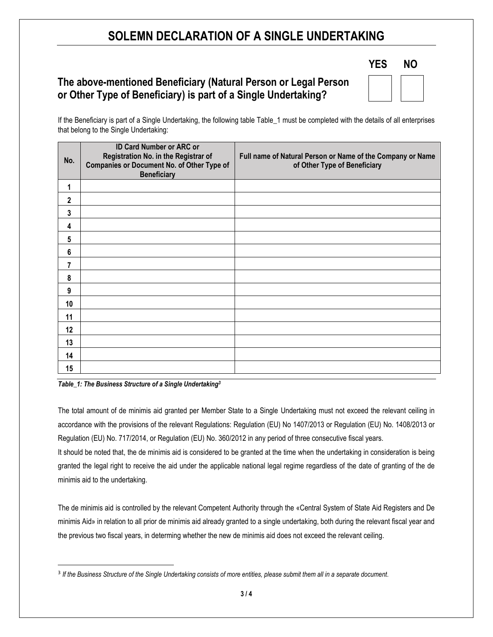### **The above-mentioned Beneficiary (Natural Person or Legal Person or Other Type of Beneficiary) is part of a Single Undertaking?**

| <b>YES</b> | ΝO |  |
|------------|----|--|
|            |    |  |

If the Beneficiary is part of a Single Undertaking, the following table Table\_1 must be completed with the details of all enterprises that belong to the Single Undertaking:

| No.         | <b>ID Card Number or ARC or</b><br>Registration No. in the Registrar of<br>Companies or Document No. of Other Type of<br><b>Beneficiary</b> | Full name of Natural Person or Name of the Company or Name<br>of Other Type of Beneficiary |
|-------------|---------------------------------------------------------------------------------------------------------------------------------------------|--------------------------------------------------------------------------------------------|
| 1           |                                                                                                                                             |                                                                                            |
| $\mathbf 2$ |                                                                                                                                             |                                                                                            |
| 3           |                                                                                                                                             |                                                                                            |
| 4           |                                                                                                                                             |                                                                                            |
| 5           |                                                                                                                                             |                                                                                            |
| 6           |                                                                                                                                             |                                                                                            |
| 7           |                                                                                                                                             |                                                                                            |
| 8           |                                                                                                                                             |                                                                                            |
| 9           |                                                                                                                                             |                                                                                            |
| 10          |                                                                                                                                             |                                                                                            |
| 11          |                                                                                                                                             |                                                                                            |
| 12          |                                                                                                                                             |                                                                                            |
| 13          |                                                                                                                                             |                                                                                            |
| 14          |                                                                                                                                             |                                                                                            |
| 15          |                                                                                                                                             |                                                                                            |

*Table\_1: The Business Structure of a Single Undertaking<sup>3</sup>*

 $\overline{\phantom{a}}$ 

The total amount of de minimis aid granted per Member State to a Single Undertaking must not exceed the relevant ceiling in accordance with the provisions of the relevant Regulations: Regulation (EU) No 1407/2013 or Regulation (EU) No. 1408/2013 or Regulation (EU) No. 717/2014, or Regulation (EU) No. 360/2012 in any period of three consecutive fiscal years.

It should be noted that, the de minimis aid is considered to be granted at the time when the undertaking in consideration is being granted the legal right to receive the aid under the applicable national legal regime regardless of the date of granting of the de minimis aid to the undertaking.

The de minimis aid is controlled by the relevant Competent Authority through the «Central System of State Aid Registers and De minimis Aid» in relation to all prior de minimis aid already granted to a single undertaking, both during the relevant fiscal year and the previous two fiscal years, in determing whether the new de minimis aid does not exceed the relevant ceiling.

<sup>3</sup> *If the Business Structure of the Single Undertaking consists of more entities, please submit them all in a separate document*.